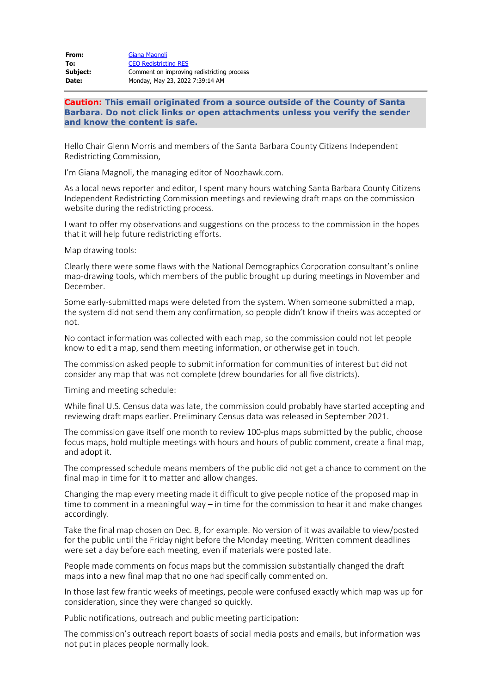| From:    | Giana Magnoli                              |
|----------|--------------------------------------------|
| To:      | <b>CEO Redistricting RES</b>               |
| Subject: | Comment on improving redistricting process |
| Date:    | Monday, May 23, 2022 7:39:14 AM            |

**Caution: This email originated from a source outside of the County of Santa Barbara. Do not click links or open attachments unless you verify the sender and know the content is safe.**

Hello Chair Glenn Morris and members of the Santa Barbara County Citizens Independent Redistricting Commission,

I'm Giana Magnoli, the managing editor of Noozhawk.com.

As a local news reporter and editor, I spent many hours watching Santa Barbara County Citizens Independent Redistricting Commission meetings and reviewing draft maps on the commission website during the redistricting process.

I want to offer my observations and suggestions on the process to the commission in the hopes that it will help future redistricting efforts.

Map drawing tools:

Clearly there were some flaws with the National Demographics Corporation consultant's online map-drawing tools, which members of the public brought up during meetings in November and December.

Some early-submitted maps were deleted from the system. When someone submitted a map, the system did not send them any confirmation, so people didn't know if theirs was accepted or not.

No contact information was collected with each map, so the commission could not let people know to edit a map, send them meeting information, or otherwise get in touch.

The commission asked people to submit information for communities of interest but did not consider any map that was not complete (drew boundaries for all five districts).

Timing and meeting schedule:

While final U.S. Census data was late, the commission could probably have started accepting and reviewing draft maps earlier. Preliminary Census data was released in September 2021.

The commission gave itself one month to review 100-plus maps submitted by the public, choose focus maps, hold multiple meetings with hours and hours of public comment, create a final map, and adopt it.

The compressed schedule means members of the public did not get a chance to comment on the final map in time for it to matter and allow changes.

Changing the map every meeting made it difficult to give people notice of the proposed map in time to comment in a meaningful way – in time for the commission to hear it and make changes accordingly.

Take the final map chosen on Dec. 8, for example. No version of it was available to view/posted for the public until the Friday night before the Monday meeting. Written comment deadlines were set a day before each meeting, even if materials were posted late.

People made comments on focus maps but the commission substantially changed the draft maps into a new final map that no one had specifically commented on.

In those last few frantic weeks of meetings, people were confused exactly which map was up for consideration, since they were changed so quickly.

Public notifications, outreach and public meeting participation:

The commission's outreach report boasts of social media posts and emails, but information was not put in places people normally look.